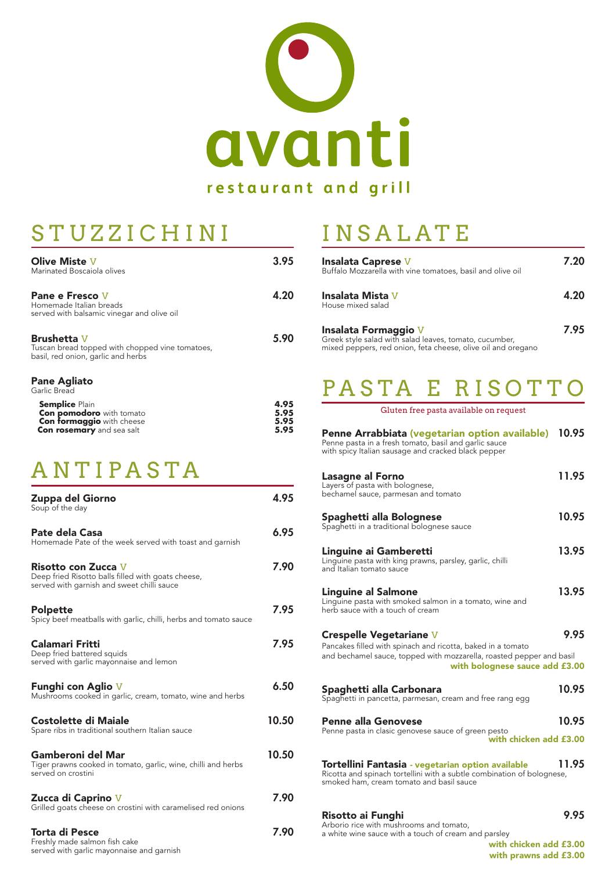

## STUZZICHINI

Olive Miste V 3.95

| Marinated Boscaiola olives                                                                                                                                              |                              |
|-------------------------------------------------------------------------------------------------------------------------------------------------------------------------|------------------------------|
| Pane e Fresco V<br>Homemade Italian breads<br>served with balsamic vinegar and olive oil                                                                                | 4.20                         |
| <b>Brushetta V</b><br>Tuscan bread topped with chopped vine tomatoes,<br>basil, red onion, garlic and herbs                                                             | 5.90                         |
| <b>Pane Agliato</b><br>Garlic Bread<br><b>Semplice Plain</b><br><b>Con pomodoro</b> with tomato<br><b>Con formaggio</b> with cheese<br><b>Con rosemary</b> and sea salt | 4.95<br>5.95<br>5.95<br>5.95 |
| ANTIPASTA                                                                                                                                                               |                              |
| <b>Zuppa del Giorno</b><br>Soup of the day                                                                                                                              | 4.95                         |
| Pate dela Casa<br>Homemade Pate of the week served with toast and garnish                                                                                               | 6.95                         |
| <b>Risotto con Zucca</b> V<br>Deep fried Risotto balls filled with goats cheese,<br>served with garnish and sweet chilli sauce                                          | 7.90                         |
| <b>Polpette</b><br>Spicy beef meatballs with garlic, chilli, herbs and tomato sauce                                                                                     | 7.95                         |
| Calamari Fritti<br>Deep fried battered squids<br>served with garlic mayonnaise and lemon                                                                                | 7.95                         |

served with garlic mayonnaise and lemon

#### Funghi con Aglio V 6.50

Mushrooms cooked in garlic, cream, tomato, wine and herbs

Costolette di Maiale 10.50

Spare ribs in traditional southern Italian sauce

### Gamberoni del Mar 10.50

Tiger prawns cooked in tomato, garlic, wine, chilli and herbs served on crostini

Zucca di Caprino V 7.90

Grilled goats cheese on crostini with caramelised red onions

Torta di Pesce 7.90 Freshly made salmon fish cake served with garlic mayonnaise and garnish

# INSALATE

| <b>Insalata Caprese V</b><br>Buffalo Mozzarella with vine tomatoes, basil and olive oil                                                        | 7.20 |
|------------------------------------------------------------------------------------------------------------------------------------------------|------|
| Insalata Mista V<br>House mixed salad                                                                                                          | 4.20 |
| Insalata Formaggio V<br>Greek style salad with salad leaves, tomato, cucumber,<br>mixed peppers, red onion, feta cheese, olive oil and oregano | 7.95 |

## PASTA E RISOTTO

Gluten free pasta available on request

| Penne Arrabbiata (vegetarian option available) 10.95<br>Penne pasta in a fresh tomato, basil and garlic sauce<br>with spicy Italian sausage and cracked black pepper |       |
|----------------------------------------------------------------------------------------------------------------------------------------------------------------------|-------|
| <b>Lasagne al Forno</b><br>Layers of pasta with bolognese,<br>bechamel sauce, parmesan and tomato                                                                    | 11.95 |
| Spaghetti alla Bolognese<br>Spaghetti in a traditional bolognese sauce                                                                                               | 10.95 |
| Linguine ai Gamberetti<br>Linguine pasta with king prawns, parsley, garlic, chilli<br>and Italian tomato sauce                                                       | 13.95 |
| <b>Linguine al Salmone</b><br>Linguine pasta with smoked salmon in a tomato, wine and<br>herb sauce with a touch of cream                                            | 13.95 |
| <b>Crespelle Vegetariane V</b><br>Pancakes filled with spinach and ricotta, baked in a tomato                                                                        | 9.95  |

and bechamel sauce, topped with mozzarella, roasted pepper and basil with bolognese sauce add £3.00

### Spaghetti alla Carbonara 10.95

Spaghetti in pancetta, parmesan, cream and free rang egg

### Penne alla Genovese anno 10.95

Penne pasta in clasic genovese sauce of green pesto with chicken add £3.00

#### Tortellini Fantasia - vegetarian option available 11.95 Ricotta and spinach tortellini with a subtle combination of bolognese,

smoked ham, cream tomato and basil sauce

### Risotto ai Funghi 1995

Arborio rice with mushrooms and tomato, a white wine sauce with a touch of cream and parsley

with chicken add £3.00 with prawns add £3.00